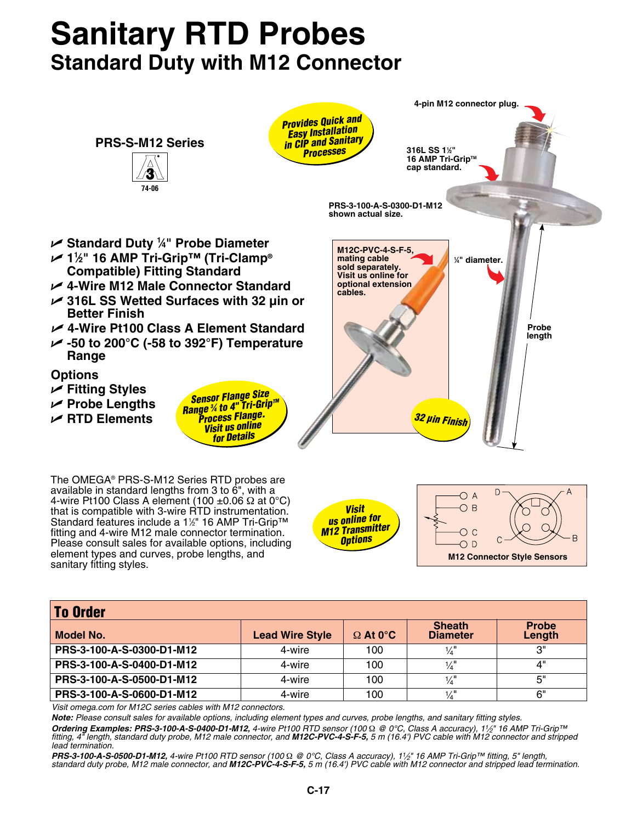## **Sanitary RTD Probes Standard Duty with M12 Connector**



| <b>To Order</b>           |                        |                 |                                  |                        |  |  |
|---------------------------|------------------------|-----------------|----------------------------------|------------------------|--|--|
| Model No.                 | <b>Lead Wire Style</b> | $\Omega$ At 0°C | <b>Sheath</b><br><b>Diameter</b> | <b>Probe</b><br>Length |  |  |
| PRS-3-100-A-S-0300-D1-M12 | 4-wire                 | 100             | $\frac{1}{4}$                    | 3"                     |  |  |
| PRS-3-100-A-S-0400-D1-M12 | 4-wire                 | 100             | $\frac{1}{4}$                    | 4"                     |  |  |
| PRS-3-100-A-S-0500-D1-M12 | 4-wire                 | 100             | $\frac{1}{4}$                    | 5"                     |  |  |
| PRS-3-100-A-S-0600-D1-M12 | 4-wire                 | 100             | $\frac{1}{4}$                    | 6"                     |  |  |

*Visit omega.com for M12C series cables with M12 connectors.*

*Note: Please consult sales for available options, including element types and curves, probe lengths, and sanitary fitting styles.*

**Ordering Examples: PRS-3-100-A-S-0400-D1-M12**, 4-wire Pt100 RTD sensor (100 Ω @ 0°C, Class A accuracy), 1½" 16 AMP Tri-Grip™<br>fitting, 4" length, standard duty probe, M12 male connector, and **M12C-PVC-4-S-F-5,** 5 m (16.4 *lead termination.*

*PRS-3-100-A-S-0500-D1-M12, 4-wire Pt100 RTD sensor (100* Ω *@ 0°C, Class A accuracy), 11⁄2" 16 AMP Tri-Grip™ fitting, 5" length, standard duty probe, M12 male connector, and M12C-PVC-4-S-F-5, 5 m (16.4') PVC cable with M12 connector and stripped lead termination.*